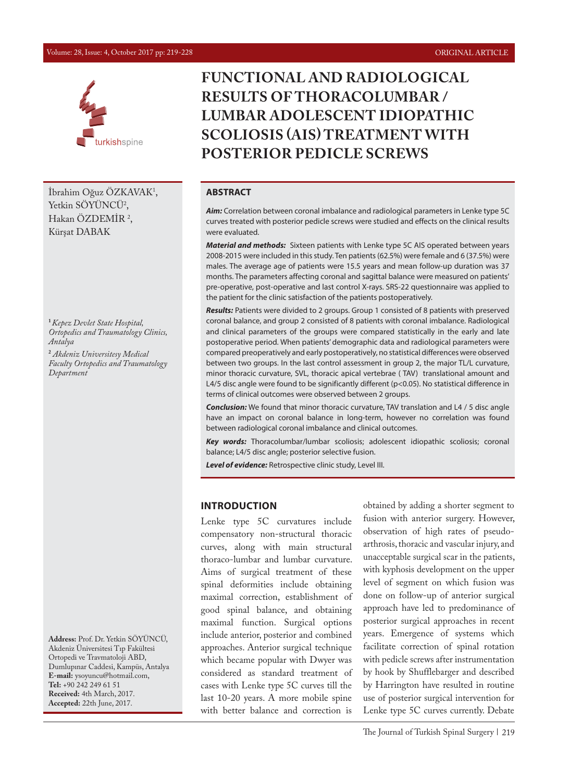#### Volume: 28, Issue: 4, October 2017 pp: 219-228 ORIGINAL ARTICLE



İbrahim Oğuz ÖZKAVAK1 , Yetkin SOYUNCU<sup>2</sup>, Hakan OZDEMIR<sup>2</sup>, Kürşat DABAK

**<sup>1</sup>***Kepez Devlet State Hospital, Ortopedics and Traumatology Clinics, Antalya* **2**  *Akdeniz Universitesy Medical Faculty Ortopedics and Traumatology Department*

**Address:** Prof. Dr. Yetkin SÖYÜNCÜ, Akdeniz Üniversitesi Tıp Fakültesi Ortopedi ve Travmatoloji ABD, Dumlupınar Caddesi, Kampüs, Antalya **E-mail:** ysoyuncu@hotmail.com, **Tel:** +90 242 249 61 51 **Received:** 4th March, 2017. **Accepted:** 22th June, 2017.

# **FUNCTIONAL AND RADIOLOGICAL RESULTS OF THORACOLUMBAR / LUMBAR ADOLESCENT IDIOPATHIC SCOLIOSIS (AIS) TREATMENT WITH POSTERIOR PEDICLE SCREWS**

#### **ABSTRACT**

*Aim:* Correlation between coronal imbalance and radiological parameters in Lenke type 5C curves treated with posterior pedicle screws were studied and effects on the clinical results were evaluated.

*Material and methods:* Sixteen patients with Lenke type 5C AIS operated between years 2008-2015 were included in this study. Ten patients (62.5%) were female and 6 (37.5%) were males. The average age of patients were 15.5 years and mean follow-up duration was 37 months. The parameters affecting coronal and sagittal balance were measured on patients' pre-operative, post-operative and last control X-rays. SRS-22 questionnaire was applied to the patient for the clinic satisfaction of the patients postoperatively.

*Results:* Patients were divided to 2 groups. Group 1 consisted of 8 patients with preserved coronal balance, and group 2 consisted of 8 patients with coronal imbalance. Radiological and clinical parameters of the groups were compared statistically in the early and late postoperative period. When patients' demographic data and radiological parameters were compared preoperatively and early postoperatively, no statistical differences were observed between two groups. In the last control assessment in group 2, the major TL/L curvature, minor thoracic curvature, SVL, thoracic apical vertebrae ( TAV) translational amount and L4/5 disc angle were found to be significantly different (p<0.05). No statistical difference in terms of clinical outcomes were observed between 2 groups.

*Conclusion:* We found that minor thoracic curvature, TAV translation and L4 / 5 disc angle have an impact on coronal balance in long-term, however no correlation was found between radiological coronal imbalance and clinical outcomes.

*Key words:* Thoracolumbar/lumbar scoliosis; adolescent idiopathic scoliosis; coronal balance; L4/5 disc angle; posterior selective fusion.

*Level of evidence:* Retrospective clinic study, Level III.

#### **INTRODUCTION**

Lenke type 5C curvatures include compensatory non-structural thoracic curves, along with main structural thoraco-lumbar and lumbar curvature. Aims of surgical treatment of these spinal deformities include obtaining maximal correction, establishment of good spinal balance, and obtaining maximal function. Surgical options include anterior, posterior and combined approaches. Anterior surgical technique which became popular with Dwyer was considered as standard treatment of cases with Lenke type 5C curves till the last 10-20 years. A more mobile spine with better balance and correction is

obtained by adding a shorter segment to fusion with anterior surgery. However, observation of high rates of pseudoarthrosis, thoracic and vascular injury, and unacceptable surgical scar in the patients, with kyphosis development on the upper level of segment on which fusion was done on follow-up of anterior surgical approach have led to predominance of posterior surgical approaches in recent years. Emergence of systems which facilitate correction of spinal rotation with pedicle screws after instrumentation by hook by Shufflebarger and described by Harrington have resulted in routine use of posterior surgical intervention for Lenke type 5C curves currently. Debate

The Journal of Turkish Spinal Surgery | 219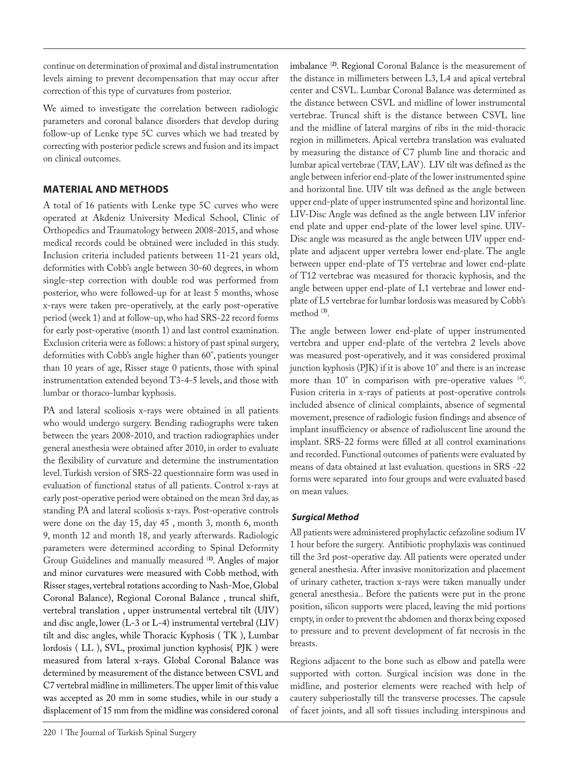continue on determination of proximal and distal instrumentation levels aiming to prevent decompensation that may occur after correction of this type of curvatures from posterior.

We aimed to investigate the correlation between radiologic parameters and coronal balance disorders that develop during follow-up of Lenke type 5C curves which we had treated by correcting with posterior pedicle screws and fusion and its impact on clinical outcomes.

# **MATERIAL AND METHODS**

A total of 16 patients with Lenke type 5C curves who were operated at Akdeniz University Medical School, Clinic of Orthopedics and Traumatology between 2008-2015, and whose medical records could be obtained were included in this study. Inclusion criteria included patients between 11-21 years old, deformities with Cobb's angle between 30-60 degrees, in whom single-step correction with double rod was performed from posterior, who were followed-up for at least 5 months, whose x-rays were taken pre-operatively, at the early post-operative period (week 1) and at follow-up, who had SRS-22 record forms for early post-operative (month 1) and last control examination. Exclusion criteria were as follows: a history of past spinal surgery, deformities with Cobb's angle higher than 60°, patients younger than 10 years of age, Risser stage 0 patients, those with spinal instrumentation extended beyond T3-4-5 levels, and those with lumbar or thoraco-lumbar kyphosis.

PA and lateral scoliosis x-rays were obtained in all patients who would undergo surgery. Bending radiographs were taken between the years 2008-2010, and traction radiographies under general anesthesia were obtained after 2010, in order to evaluate the flexibility of curvature and determine the instrumentation level. Turkish version of SRS-22 questionnaire form was used in evaluation of functional status of all patients. Control x-rays at early post-operative period were obtained on the mean 3rd day, as standing PA and lateral scoliosis x-rays. Post-operative controls were done on the day 15, day 45 , month 3, month 6, month 9, month 12 and month 18, and yearly afterwards. Radiologic parameters were determined according to Spinal Deformity Group Guidelines and manually measured (**1)**. Angles of major and minor curvatures were measured with Cobb method, with Risser stages, vertebral rotations according to Nash-Moe, Global Coronal Balance), Regional Coronal Balance , truncal shift, vertebral translation , upper instrumental vertebral tilt (UIV) and disc angle, lower (L-3 or L-4) instrumental vertebral (LIV) tilt and disc angles, while Thoracic Kyphosis ( TK ), Lumbar lordosis ( LL ), SVL, proximal junction kyphosis( PJK ) were measured from lateral x-rays. Global Coronal Balance was determined by measurement of the distance between CSVL and C7 vertebral midline in millimeters. The upper limit of this value was accepted as 20 mm in some studies, while in our study a displacement of 15 mm from the midline was considered coronal imbalance (**2)**. Regional Coronal Balance is the measurement of the distance in millimeters between L3, L4 and apical vertebral center and CSVL. Lumbar Coronal Balance was determined as the distance between CSVL and midline of lower instrumental vertebrae. Truncal shift is the distance between CSVL line and the midline of lateral margins of ribs in the mid-thoracic region in millimeters. Apical vertebra translation was evaluated by measuring the distance of C7 plumb line and thoracic and lumbar apical vertebrae (TAV, LAV). LIV tilt was defined as the angle between inferior end-plate of the lower instrumented spine and horizontal line. UIV tilt was defined as the angle between upper end-plate of upper instrumented spine and horizontal line. LIV-Disc Angle was defined as the angle between LIV inferior end plate and upper end-plate of the lower level spine. UIV-Disc angle was measured as the angle between UIV upper endplate and adjacent upper vertebra lower end-plate. The angle between upper end-plate of T5 vertebrae and lower end-plate of T12 vertebrae was measured for thoracic kyphosis, and the angle between upper end-plate of L1 vertebrae and lower endplate of L5 vertebrae for lumbar lordosis was measured by Cobb's method (**3)**.

The angle between lower end-plate of upper instrumented vertebra and upper end-plate of the vertebra 2 levels above was measured post-operatively, and it was considered proximal junction kyphosis (PJK) if it is above 10° and there is an increase more than 10° in comparison with pre-operative values <sup>(4)</sup>. Fusion criteria in x-rays of patients at post-operative controls included absence of clinical complaints, absence of segmental movement, presence of radiologic fusion findings and absence of implant insufficiency or absence of radioluscent line around the implant. SRS-22 forms were filled at all control examinations and recorded. Functional outcomes of patients were evaluated by means of data obtained at last evaluation. questions in SRS -22 forms were separated into four groups and were evaluated based on mean values.

### *Surgical Method*

All patients were administered prophylactic cefazoline sodium IV 1 hour before the surgery. Antibiotic prophylaxis was continued till the 3rd post-operative day. All patients were operated under general anesthesia. After invasive monitorization and placement of urinary catheter, traction x-rays were taken manually under general anesthesia.. Before the patients were put in the prone position, silicon supports were placed, leaving the mid portions empty, in order to prevent the abdomen and thorax being exposed to pressure and to prevent development of fat necrosis in the breasts.

Regions adjacent to the bone such as elbow and patella were supported with cotton. Surgical incision was done in the midline, and posterior elements were reached with help of cautery subperiostally till the transverse processes. The capsule of facet joints, and all soft tissues including interspinous and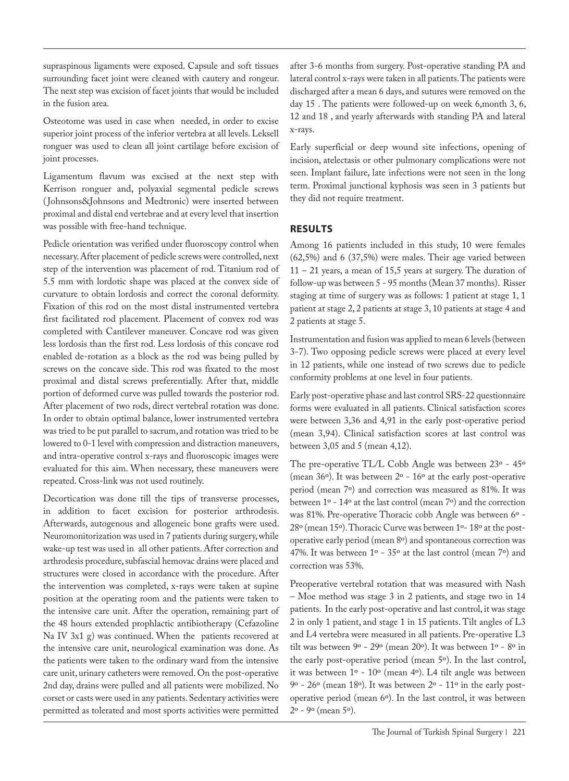supraspinous ligaments were exposed. Capsule and soft tissues surrounding facet joint were cleaned with cautery and rongeur. The next step was excision of facet joints that would be included in the fusion area.

Osteotome was used in case when needed, in order to excise superior joint process of the inferior vertebra at all levels. Leksell ronguer was used to clean all joint cartilage before excision of joint processes.

Ligamentum flavum was excised at the next step with Kerrison ronguer and, polyaxial segmental pedicle screws ( Johnsons&Johnsons and Medtronic) were inserted between proximal and distal end vertebrae and at every level that insertion was possible with free-hand technique.

Pedicle orientation was verified under fluoroscopy control when necessary. After placement of pedicle screws were controlled, next step of the intervention was placement of rod. Titanium rod of 5.5 mm with lordotic shape was placed at the convex side of curvature to obtain lordosis and correct the coronal deformity. Fixation of this rod on the most distal instrumented vertebra first facilitated rod placement. Placement of convex rod was completed with Cantilever maneuver. Concave rod was given less lordosis than the first rod. Less lordosis of this concave rod enabled de-rotation as a block as the rod was being pulled by screws on the concave side. This rod was fixated to the most proximal and distal screws preferentially. After that, middle portion of deformed curve was pulled towards the posterior rod. After placement of two rods, direct vertebral rotation was done. In order to obtain optimal balance, lower instrumented vertebra was tried to be put parallel to sacrum, and rotation was tried to be lowered to 0-1 level with compression and distraction maneuvers, and intra-operative control x-rays and fluoroscopic images were evaluated for this aim. When necessary, these maneuvers were repeated. Cross-link was not used routinely.

Decortication was done till the tips of transverse processes, in addition to facet excision for posterior arthrodesis. Afterwards, autogenous and allogeneic bone grafts were used. Neuromonitorization was used in 7 patients during surgery, while wake-up test was used in all other patients. After correction and arthrodesis procedure, subfascial hemovac drains were placed and structures were closed in accordance with the procedure. After the intervention was completed, x-rays were taken at supine position at the operating room and the patients were taken to the intensive care unit. After the operation, remaining part of the 48 hours extended prophlactic antibiotherapy (Cefazoline Na IV 3x1 g) was continued. When the patients recovered at the intensive care unit, neurological examination was done. As the patients were taken to the ordinary ward from the intensive care unit, urinary catheters were removed. On the post-operative 2nd day, drains were pulled and all patients were mobilized. No corset or casts were used in any patients. Sedentary activities were permitted as tolerated and most sports activities were permitted

after 3-6 months from surgery. Post-operative standing PA and lateral control x-rays were taken in all patients. The patients were discharged after a mean 6 days, and sutures were removed on the day 15 . The patients were followed-up on week 6,month 3, 6, 12 and 18 , and yearly afterwards with standing PA and lateral x-rays.

Early superficial or deep wound site infections, opening of incision, atelectasis or other pulmonary complications were not seen. Implant failure, late infections were not seen in the long term. Proximal junctional kyphosis was seen in 3 patients but they did not require treatment.

### **RESULTS**

Among 16 patients included in this study, 10 were females (62,5%) and 6 (37,5%) were males. Their age varied between 11 – 21 years, a mean of 15,5 years at surgery. The duration of follow-up was between 5 - 95 months (Mean 37 months). Risser staging at time of surgery was as follows: 1 patient at stage 1, 1 patient at stage 2, 2 patients at stage 3, 10 patients at stage 4 and 2 patients at stage 5.

Instrumentation and fusion was applied to mean 6 levels (between 3-7). Two opposing pedicle screws were placed at every level in 12 patients, while one instead of two screws due to pedicle conformity problems at one level in four patients.

Early post-operative phase and last control SRS-22 questionnaire forms were evaluated in all patients. Clinical satisfaction scores were between 3,36 and 4,91 in the early post-operative period (mean 3,94). Clinical satisfaction scores at last control was between 3,05 and 5 (mean 4,12).

The pre-operative TL/L Cobb Angle was between 23º - 45º (mean 36º). It was between 2º - 16º at the early post-operative period (mean 7º) and correction was measured as 81%. It was between 1º - 14º at the last control (mean 7º) and the correction was 81%. Pre-operative Thoracic cobb Angle was between 6º - 28º (mean 15º). Thoracic Curve was between 1º- 18º at the postoperative early period (mean 8º) and spontaneous correction was 47%. It was between  $1^{\circ}$  - 35 $^{\circ}$  at the last control (mean 7 $^{\circ}$ ) and correction was 53%.

Preoperative vertebral rotation that was measured with Nash – Moe method was stage 3 in 2 patients, and stage two in 14 patients. In the early post-operative and last control, it was stage 2 in only 1 patient, and stage 1 in 15 patients. Tilt angles of L3 and L4 vertebra were measured in all patients. Pre-operative L3 tilt was between 9º - 29º (mean 20º). It was between 1º - 8º in the early post-operative period (mean 5º). In the last control, it was between 1º - 10º (mean 4º). L4 tilt angle was between  $9^{\circ}$  - 26 $^{\circ}$  (mean 18 $^{\circ}$ ). It was between  $2^{\circ}$  - 11 $^{\circ}$  in the early postoperative period (mean 6º). In the last control, it was between 2º - 9º (mean 5º).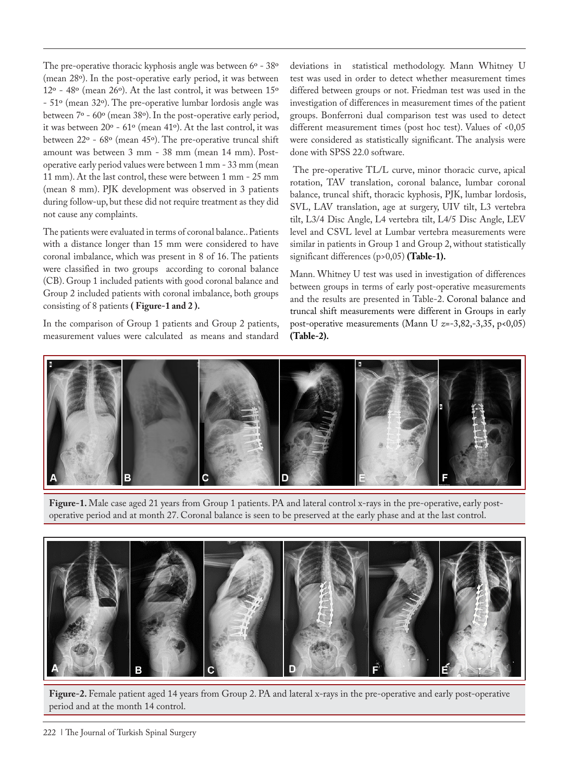The pre-operative thoracic kyphosis angle was between 6° - 38° (mean 28º). In the post-operative early period, it was between 12º - 48º (mean 26º). At the last control, it was between 15º - 51º (mean 32º). The pre-operative lumbar lordosis angle was between 7º - 60º (mean 38º). In the post-operative early period, it was between 20º - 61º (mean 41º). At the last control, it was between 22º - 68º (mean 45º). The pre-operative truncal shift amount was between 3 mm - 38 mm (mean 14 mm). Postoperative early period values were between 1 mm - 33 mm (mean 11 mm). At the last control, these were between 1 mm - 25 mm (mean 8 mm). PJK development was observed in 3 patients during follow-up, but these did not require treatment as they did not cause any complaints.

The patients were evaluated in terms of coronal balance.. Patients with a distance longer than 15 mm were considered to have coronal imbalance, which was present in 8 of 16. The patients were classified in two groups according to coronal balance (CB). Group 1 included patients with good coronal balance and Group 2 included patients with coronal imbalance, both groups consisting of 8 patients **( Figure-1 and 2 ).**

In the comparison of Group 1 patients and Group 2 patients, measurement values were calculated as means and standard deviations in statistical methodology. Mann Whitney U test was used in order to detect whether measurement times differed between groups or not. Friedman test was used in the investigation of differences in measurement times of the patient groups. Bonferroni dual comparison test was used to detect different measurement times (post hoc test). Values of <0,05 were considered as statistically significant. The analysis were done with SPSS 22.0 software.

 The pre-operative TL/L curve, minor thoracic curve, apical rotation, TAV translation, coronal balance, lumbar coronal balance, truncal shift, thoracic kyphosis, PJK, lumbar lordosis, SVL, LAV translation, age at surgery, UIV tilt, L3 vertebra tilt, L3/4 Disc Angle, L4 vertebra tilt, L4/5 Disc Angle, LEV level and CSVL level at Lumbar vertebra measurements were similar in patients in Group 1 and Group 2, without statistically significant differences (p>0,05) **(Table-1).**

Mann. Whitney U test was used in investigation of differences between groups in terms of early post-operative measurements and the results are presented in Table-2. Coronal balance and truncal shift measurements were different in Groups in early post-operative measurements (Mann U *z*=-3,82,-3,35, p<0,05) **(Table-2).**



**Figure-1.** Male case aged 21 years from Group 1 patients. PA and lateral control x-rays in the pre-operative, early postoperative period and at month 27. Coronal balance is seen to be preserved at the early phase and at the last control.



**Figure-2.** Female patient aged 14 years from Group 2. PA and lateral x-rays in the pre-operative and early post-operative period and at the month 14 control.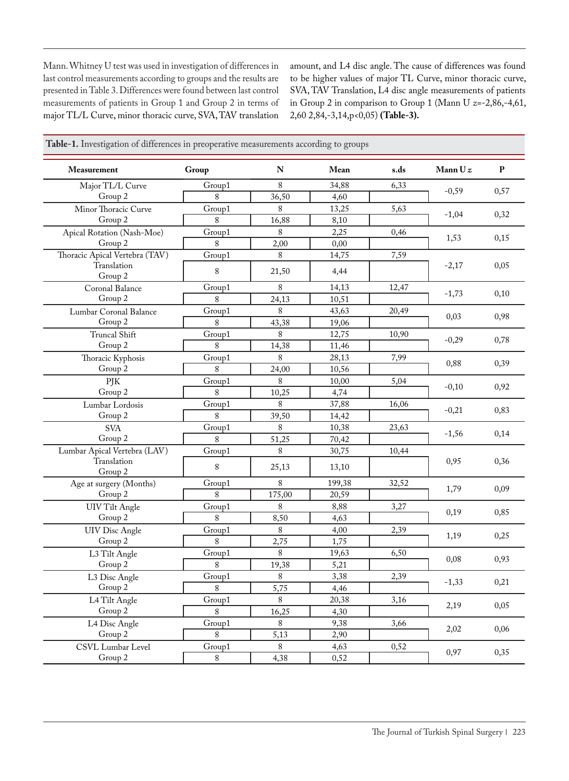Mann. Whitney U test was used in investigation of differences in last control measurements according to groups and the results are presented in Table 3. Differences were found between last control measurements of patients in Group 1 and Group 2 in terms of major TL/L Curve, minor thoracic curve, SVA, TAV translation amount, and L4 disc angle. The cause of differences was found to be higher values of major TL Curve, minor thoracic curve, SVA, TAV Translation, L4 disc angle measurements of patients in Group 2 in comparison to Group 1 (Mann U *z*=-2,86,-4,61, 2,60 2,84,-3,14,p<0,05) **(Table-3).**

| Measurement                    | Group        | N      | Mean   | s.ds  | Mann Uz | $\mathbf{P}$ |
|--------------------------------|--------------|--------|--------|-------|---------|--------------|
| Major TL/L Curve               | Group1       | 8      | 34,88  | 6,33  |         |              |
| Group 2                        | $\mathbf{g}$ | 36,50  | 4,60   |       | $-0,59$ | 0,57         |
| Minor Thoracic Curve           | Group1       | 8      | 13,25  | 5,63  |         |              |
| Group 2                        | 8            | 16,88  | 8,10   |       | $-1,04$ | 0,32         |
| Apical Rotation (Nash-Moe)     | Group1       | 8      | 2,25   | 0,46  |         | 0,15         |
| Group 2                        | 8            | 2,00   | 0,00   |       | 1,53    |              |
| Thoracic Apical Vertebra (TAV) | Group1       | 8      | 14,75  | 7,59  |         |              |
| Translation<br>Group 2         | 8            | 21,50  | 4,44   |       | $-2,17$ | 0,05         |
| Coronal Balance                | Group1       | 8      | 14,13  | 12,47 |         |              |
| Group 2                        | 8            | 24,13  | 10,51  |       | $-1,73$ | 0,10         |
| Lumbar Coronal Balance         | Group1       | 8      | 43,63  | 20,49 |         |              |
| Group 2                        | 8            | 43,38  | 19,06  |       | 0,03    | 0,98         |
| <b>Truncal Shift</b>           | Group1       | 8      | 12,75  | 10,90 |         | 0,78         |
| Group 2                        | 8            | 14,38  | 11,46  |       | $-0,29$ |              |
| Thoracic Kyphosis              | Group1       | 8      | 28,13  | 7,99  |         | 0,39         |
| Group 2                        | 8            | 24,00  | 10,56  |       | 0,88    |              |
| PJK                            | Group1       | 8      | 10,00  | 5,04  |         | 0,92         |
| Group 2                        | 8            | 10,25  | 4,74   |       | $-0,10$ |              |
| Lumbar Lordosis                | Group1       | 8      | 37,88  | 16,06 |         | 0,83         |
| Group 2                        | 8            | 39,50  | 14,42  |       | $-0,21$ |              |
| <b>SVA</b>                     | Group1       | 8      | 10,38  | 23,63 |         |              |
| Group 2                        | 8            | 51,25  | 70,42  |       | $-1,56$ | 0,14         |
| Lumbar Apical Vertebra (LAV)   | Group1       | 8      | 30,75  | 10,44 |         | 0,36         |
| Translation<br>Group 2         | 8            | 25,13  | 13,10  |       | 0,95    |              |
| Age at surgery (Months)        | Group1       | 8      | 199,38 | 32,52 |         | 0,09         |
| Group 2                        | 8            | 175,00 | 20,59  |       | 1,79    |              |
| <b>UIV</b> Tilt Angle          | Group1       | 8      | 8,88   | 3,27  |         |              |
| Group 2                        | 8            | 8,50   | 4,63   |       | 0,19    | 0,85         |
| <b>UIV</b> Disc Angle          | Group1       | 8      | 4,00   | 2,39  |         | 0,25         |
| Group 2                        | 8            | 2,75   | 1,75   |       | 1,19    |              |
| L3 Tilt Angle                  | Group1       | $8\,$  | 19,63  | 6,50  |         | 0,93         |
| Group 2                        | $8\,$        | 19,38  | 5,21   |       | 0,08    |              |
| L3 Disc Angle                  | Group1       | 8      | 3,38   | 2,39  |         | 0,21         |
| Group 2                        | 8            | 5,75   | 4,46   |       | $-1,33$ |              |
| L4 Tilt Angle                  | Group1       | 8      | 20,38  | 3,16  |         | 0,05         |
| Group 2                        | 8            | 16,25  | 4,30   |       | 2,19    |              |
| L4 Disc Angle                  | Group1       | $8\,$  | 9,38   | 3,66  |         | 0,06         |
| Group 2                        | 8            | 5,13   | 2,90   |       | 2,02    |              |
| CSVL Lumbar Level              | Group1       | 8      | 4,63   | 0,52  |         | 0,35         |
| Group 2                        | 8            | 4,38   | 0,52   |       | 0,97    |              |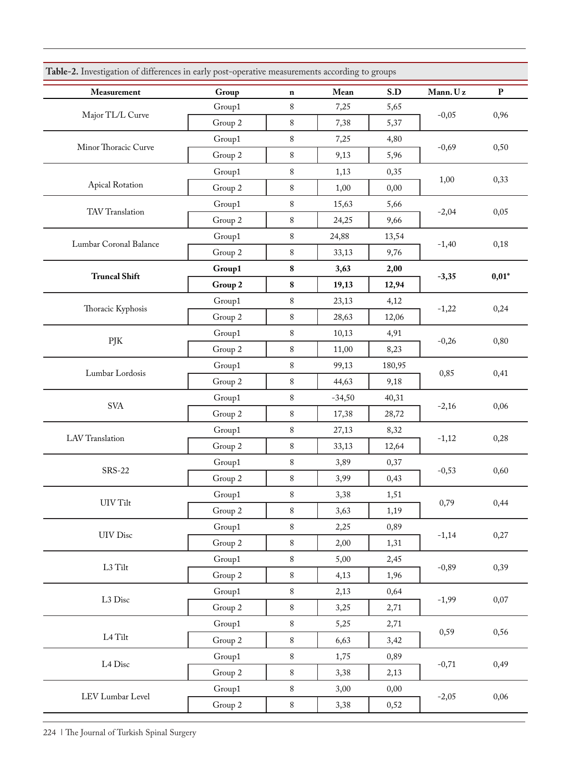| Measurement            | Group   | $\mathbf n$ | Mean     | S.D    | Mann. Uz | $\, {\bf p}$ |
|------------------------|---------|-------------|----------|--------|----------|--------------|
|                        | Group1  | 8           | 7,25     | 5,65   |          | 0,96         |
| Major TL/L Curve       | Group 2 | 8           | 7,38     | 5,37   | $-0,05$  |              |
| Minor Thoracic Curve   | Group1  | 8           | 7,25     | 4,80   |          | 0,50         |
|                        | Group 2 | 8           | 9,13     | 5,96   | $-0,69$  |              |
|                        | Group1  | 8           | 1,13     | 0,35   | 1,00     |              |
| Apical Rotation        | Group 2 | 8           | 1,00     | 0,00   |          | 0,33         |
| TAV Translation        | Group1  | 8           | 15,63    | 5,66   |          |              |
|                        | Group 2 | 8           | 24,25    | 9,66   | $-2,04$  | 0,05         |
|                        | Group1  | 8           | 24,88    | 13,54  |          |              |
| Lumbar Coronal Balance | Group 2 | 8           | 33,13    | 9,76   | $-1,40$  | 0,18         |
|                        | Group1  | 8           | 3,63     | 2,00   |          |              |
| <b>Truncal Shift</b>   | Group 2 | 8           | 19,13    | 12,94  | $-3,35$  | $0,01*$      |
|                        | Group1  | 8           | 23,13    | 4,12   |          | 0,24         |
| Thoracic Kyphosis      | Group 2 | 8           | 28,63    | 12,06  | $-1,22$  |              |
|                        | Group1  | 8           | 10,13    | 4,91   |          | 0,80         |
| PJK                    | Group 2 | 8           | 11,00    | 8,23   | $-0,26$  |              |
|                        | Group1  | 8           | 99,13    | 180,95 | 0,85     | 0,41         |
| Lumbar Lordosis        | Group 2 | 8           | 44,63    | 9,18   |          |              |
|                        | Group1  | 8           | $-34,50$ | 40,31  | $-2,16$  | 0,06         |
| SVA                    | Group 2 | 8           | 17,38    | 28,72  |          |              |
| LAV Translation        | Group1  | 8           | 27,13    | 8,32   |          | 0,28         |
|                        | Group 2 | 8           | 33,13    | 12,64  | $-1,12$  |              |
| <b>SRS-22</b>          | Group1  | $8\,$       | 3,89     | 0,37   |          | 0,60         |
|                        | Group 2 | 8           | 3,99     | 0,43   | $-0,53$  |              |
|                        | Group1  | 8           | 3,38     | 1,51   |          | 0,44         |
| UIV Tilt               | Group 2 | $8\,$       | 3,63     | 1,19   | 0,79     |              |
|                        | Group1  | $8\,$       | 2,25     | 0,89   |          | 0,27         |
| UIV Disc               | Group 2 | $8\,$       | 2,00     | 1,31   | $-1,14$  |              |
|                        | Group1  | $8\,$       | 5,00     | 2,45   |          | 0,39         |
| L3 Tilt                | Group 2 | $8\,$       | 4,13     | 1,96   | $-0,89$  |              |
|                        | Group1  | $8\,$       | 2,13     | 0,64   |          | 0,07         |
| L3 Disc                | Group 2 | $8\,$       | 3,25     | 2,71   | $-1,99$  |              |
|                        | Group1  | $8\,$       | 5,25     | 2,71   |          | 0,56         |
| $\rm L4\,Tilt$         | Group 2 | $8\,$       | 6,63     | 3,42   | 0,59     |              |
|                        | Group1  | $8\,$       | 1,75     | 0,89   |          | 0,49         |
| $\rm L4~Disc$          | Group 2 | $8\,$       | 3,38     | 2,13   | $-0,71$  |              |
|                        | Group1  | $8\,$       | 3,00     | 0,00   |          | 0,06         |
| LEV Lumbar Level       | Group 2 | 8           | 3,38     | 0,52   | $-2,05$  |              |

224 | The Journal of Turkish Spinal Surgery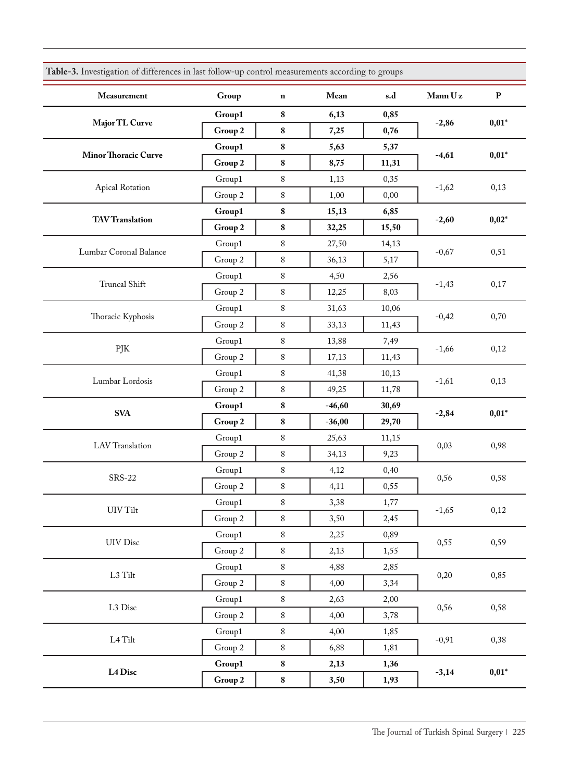| Measurement                 | Group                   | $\bf n$   | Mean     | s.d   | Mann Uz | ${\bf P}$ |
|-----------------------------|-------------------------|-----------|----------|-------|---------|-----------|
|                             | Group1                  | 8         | 6,13     | 0,85  |         |           |
| Major TL Curve              | Group 2                 | ${\bf 8}$ | 7,25     | 0,76  | $-2,86$ | $0,01*$   |
|                             | Group1                  | 8         | 5,63     | 5,37  |         | $0,01*$   |
| <b>Minor Thoracic Curve</b> | Group 2                 | ${\bf 8}$ | 8,75     | 11,31 | $-4,61$ |           |
|                             | Group1                  | 8         | 1,13     | 0,35  |         | 0,13      |
| Apical Rotation             | Group 2                 | $\,8$     | 1,00     | 0,00  | $-1,62$ |           |
|                             | Group1                  | ${\bf 8}$ | 15,13    | 6,85  |         | $0,02*$   |
| <b>TAV Translation</b>      | Group 2                 | ${\bf 8}$ | 32,25    | 15,50 | $-2,60$ |           |
|                             | Group1                  | 8         | 27,50    | 14,13 |         | 0,51      |
| Lumbar Coronal Balance      | Group 2                 | 8         | 36,13    | 5,17  | $-0,67$ |           |
|                             | Group1                  | 8         | 4,50     | 2,56  |         | 0,17      |
| Truncal Shift               | Group 2                 | 8         | 12,25    | 8,03  | $-1,43$ |           |
|                             | Group1                  | $8\,$     | 31,63    | 10,06 | $-0,42$ | 0,70      |
| Thoracic Kyphosis           | Group 2                 | $\,8$     | 33,13    | 11,43 |         |           |
|                             | Group1                  | 8         | 13,88    | 7,49  | $-1,66$ | 0,12      |
| PJK                         | Group 2                 | $\,8$     | 17,13    | 11,43 |         |           |
|                             | Group1                  | 8         | 41,38    | 10,13 | $-1,61$ | 0,13      |
| Lumbar Lordosis             | Group 2                 | $\,8$     | 49,25    | 11,78 |         |           |
| <b>SVA</b>                  | Group1                  | ${\bf 8}$ | $-46,60$ | 30,69 | $-2,84$ | $0,01*$   |
|                             | Group 2                 | ${\bf 8}$ | $-36,00$ | 29,70 |         |           |
| LAV Translation             | Group1                  | 8         | 25,63    | 11,15 |         | 0,98      |
|                             | Group 2                 | $\,8$     | 34,13    | 9,23  | 0,03    |           |
|                             | $\operatorname{Group1}$ | 8         | 4,12     | 0,40  |         | 0,58      |
| <b>SRS-22</b>               | Group 2                 | 8         | 4,11     | 0,55  | 0,56    |           |
| $\rm{UIV}\,Tilt$            | Group1                  | 8         | 3,38     | 1,77  | $-1,65$ | 0,12      |
|                             | Group 2                 | $8\,$     | 3,50     | 2,45  |         |           |
| UIV Disc                    | Group1                  | $8\,$     | 2,25     | 0,89  | 0,55    | 0,59      |
|                             | Group 2                 | 8         | 2,13     | 1,55  |         |           |
| $\rm L3$ Tilt               | Group1                  | $8\,$     | 4,88     | 2,85  | 0,20    | 0,85      |
|                             | Group 2                 | 8         | 4,00     | 3,34  |         |           |
| $\rm L3~Disc$               | Group1                  | 8         | 2,63     | 2,00  | 0,56    | 0,58      |
|                             | Group 2                 | $\,8\,$   | 4,00     | 3,78  |         |           |
| $\rm L4\,Tilt$              | Group1                  | 8         | 4,00     | 1,85  | $-0,91$ | 0,38      |
|                             | Group 2                 | $8\,$     | 6,88     | 1,81  |         |           |
| L4 Disc                     | Group1                  | ${\bf 8}$ | 2,13     | 1,36  | $-3,14$ | $0,01*$   |
|                             | Group 2                 | ${\bf 8}$ | 3,50     | 1,93  |         |           |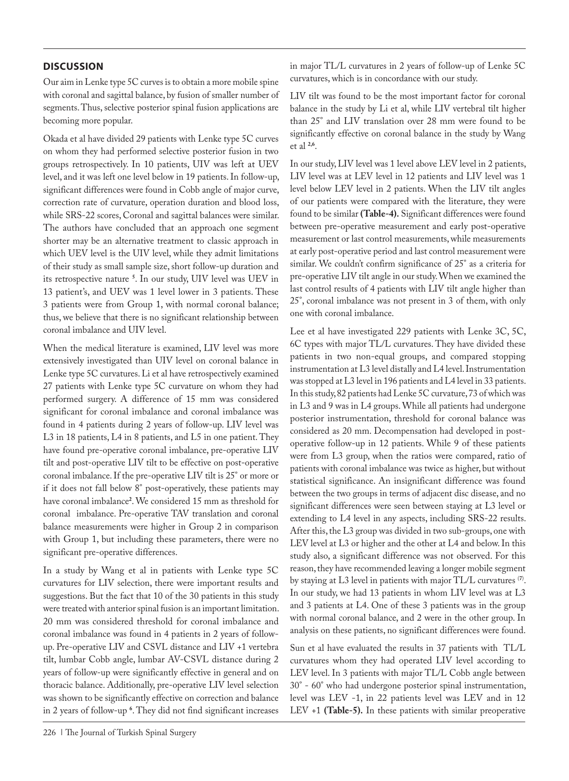## **DISCUSSION**

Our aim in Lenke type 5C curves is to obtain a more mobile spine with coronal and sagittal balance, by fusion of smaller number of segments. Thus, selective posterior spinal fusion applications are becoming more popular.

Okada et al have divided 29 patients with Lenke type 5C curves on whom they had performed selective posterior fusion in two groups retrospectively. In 10 patients, UIV was left at UEV level, and it was left one level below in 19 patients. In follow-up, significant differences were found in Cobb angle of major curve, correction rate of curvature, operation duration and blood loss, while SRS-22 scores, Coronal and sagittal balances were similar. The authors have concluded that an approach one segment shorter may be an alternative treatment to classic approach in which UEV level is the UIV level, while they admit limitations of their study as small sample size, short follow-up duration and its retrospective nature **<sup>5</sup>** . In our study, UIV level was UEV in 13 patient's, and UEV was 1 level lower in 3 patients. These 3 patients were from Group 1, with normal coronal balance; thus, we believe that there is no significant relationship between coronal imbalance and UIV level.

When the medical literature is examined, LIV level was more extensively investigated than UIV level on coronal balance in Lenke type 5C curvatures. Li et al have retrospectively examined 27 patients with Lenke type 5C curvature on whom they had performed surgery. A difference of 15 mm was considered significant for coronal imbalance and coronal imbalance was found in 4 patients during 2 years of follow-up. LIV level was L3 in 18 patients, L4 in 8 patients, and L5 in one patient. They have found pre-operative coronal imbalance, pre-operative LIV tilt and post-operative LIV tilt to be effective on post-operative coronal imbalance. If the pre-operative LIV tilt is 25° or more or if it does not fall below 8° post-operatively, these patients may have coronal imbalance**<sup>2</sup>** . We considered 15 mm as threshold for coronal imbalance. Pre-operative TAV translation and coronal balance measurements were higher in Group 2 in comparison with Group 1, but including these parameters, there were no significant pre-operative differences.

In a study by Wang et al in patients with Lenke type 5C curvatures for LIV selection, there were important results and suggestions. But the fact that 10 of the 30 patients in this study were treated with anterior spinal fusion is an important limitation. 20 mm was considered threshold for coronal imbalance and coronal imbalance was found in 4 patients in 2 years of followup. Pre-operative LIV and CSVL distance and LIV +1 vertebra tilt, lumbar Cobb angle, lumbar AV-CSVL distance during 2 years of follow-up were significantly effective in general and on thoracic balance. Additionally, pre-operative LIV level selection was shown to be significantly effective on correction and balance in 2 years of follow-up **<sup>6</sup>** . They did not find significant increases in major TL/L curvatures in 2 years of follow-up of Lenke 5C curvatures, which is in concordance with our study.

LIV tilt was found to be the most important factor for coronal balance in the study by Li et al, while LIV vertebral tilt higher than 25° and LIV translation over 28 mm were found to be significantly effective on coronal balance in the study by Wang et al **2,6**.

In our study, LIV level was 1 level above LEV level in 2 patients, LIV level was at LEV level in 12 patients and LIV level was 1 level below LEV level in 2 patients. When the LIV tilt angles of our patients were compared with the literature, they were found to be similar **(Table-4).** Significant differences were found between pre-operative measurement and early post-operative measurement or last control measurements, while measurements at early post-operative period and last control measurement were similar. We couldn't confirm significance of 25° as a criteria for pre-operative LIV tilt angle in our study. When we examined the last control results of 4 patients with LIV tilt angle higher than 25°, coronal imbalance was not present in 3 of them, with only one with coronal imbalance.

Lee et al have investigated 229 patients with Lenke 3C, 5C, 6C types with major TL/L curvatures. They have divided these patients in two non-equal groups, and compared stopping instrumentation at L3 level distally and L4 level. Instrumentation was stopped at L3 level in 196 patients and L4 level in 33 patients. In this study, 82 patients had Lenke 5C curvature, 73 of which was in L3 and 9 was in L4 groups. While all patients had undergone posterior instrumentation, threshold for coronal balance was considered as 20 mm. Decompensation had developed in postoperative follow-up in 12 patients. While 9 of these patients were from L3 group, when the ratios were compared, ratio of patients with coronal imbalance was twice as higher, but without statistical significance. An insignificant difference was found between the two groups in terms of adjacent disc disease, and no significant differences were seen between staying at L3 level or extending to L4 level in any aspects, including SRS-22 results. After this, the L3 group was divided in two sub-groups, one with LEV level at L3 or higher and the other at L4 and below. In this study also, a significant difference was not observed. For this reason, they have recommended leaving a longer mobile segment by staying at L3 level in patients with major TL/L curvatures (**7**) . In our study, we had 13 patients in whom LIV level was at L3 and 3 patients at L4. One of these 3 patients was in the group with normal coronal balance, and 2 were in the other group. In analysis on these patients, no significant differences were found.

Sun et al have evaluated the results in 37 patients with TL/L curvatures whom they had operated LIV level according to LEV level. In 3 patients with major TL/L Cobb angle between 30° - 60° who had undergone posterior spinal instrumentation, level was LEV -1, in 22 patients level was LEV and in 12 LEV +1 **(Table-5).** In these patients with similar preoperative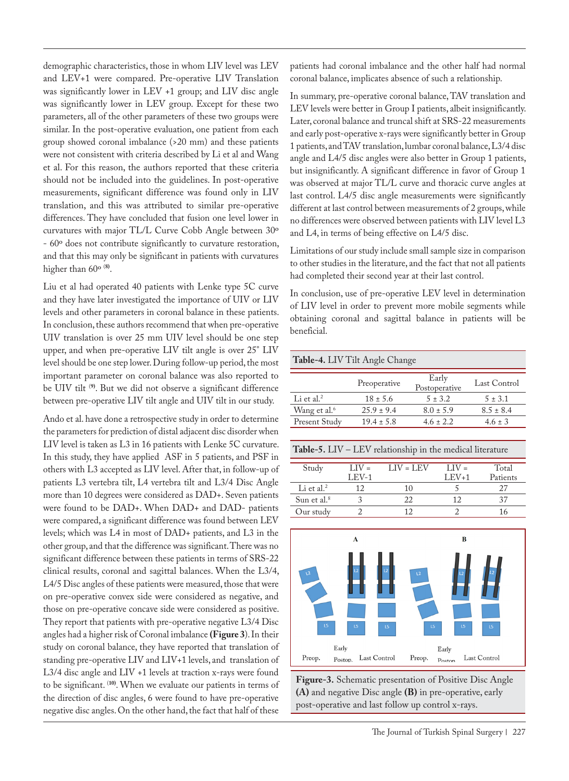demographic characteristics, those in whom LIV level was LEV and LEV+1 were compared. Pre-operative LIV Translation was significantly lower in LEV +1 group; and LIV disc angle was significantly lower in LEV group. Except for these two parameters, all of the other parameters of these two groups were similar. In the post-operative evaluation, one patient from each group showed coronal imbalance (>20 mm) and these patients were not consistent with criteria described by Li et al and Wang et al. For this reason, the authors reported that these criteria should not be included into the guidelines. In post-operative measurements, significant difference was found only in LIV translation, and this was attributed to similar pre-operative differences. They have concluded that fusion one level lower in curvatures with major TL/L Curve Cobb Angle between 30º - 60º does not contribute significantly to curvature restoration, and that this may only be significant in patients with curvatures higher than 60º (**8)**.

Liu et al had operated 40 patients with Lenke type 5C curve and they have later investigated the importance of UIV or LIV levels and other parameters in coronal balance in these patients. In conclusion, these authors recommend that when pre-operative UIV translation is over 25 mm UIV level should be one step upper, and when pre-operative LIV tilt angle is over 25° LIV level should be one step lower. During follow-up period, the most important parameter on coronal balance was also reported to be UIV tilt (**9)**. But we did not observe a significant difference between pre-operative LIV tilt angle and UIV tilt in our study.

Ando et al. have done a retrospective study in order to determine the parameters for prediction of distal adjacent disc disorder when LIV level is taken as L3 in 16 patients with Lenke 5C curvature. In this study, they have applied ASF in 5 patients, and PSF in others with L3 accepted as LIV level. After that, in follow-up of patients L3 vertebra tilt, L4 vertebra tilt and L3/4 Disc Angle more than 10 degrees were considered as DAD+. Seven patients were found to be DAD+. When DAD+ and DAD- patients were compared, a significant difference was found between LEV levels; which was L4 in most of DAD+ patients, and L3 in the other group, and that the difference was significant. There was no significant difference between these patients in terms of SRS-22 clinical results, coronal and sagittal balances. When the L3/4, L4/5 Disc angles of these patients were measured, those that were on pre-operative convex side were considered as negative, and those on pre-operative concave side were considered as positive. They report that patients with pre-operative negative L3/4 Disc angles had a higher risk of Coronal imbalance **(Figure 3**). In their study on coronal balance, they have reported that translation of standing pre-operative LIV and LIV+1 levels, and translation of L3/4 disc angle and LIV +1 levels at traction x-rays were found to be significant. (**10)**. When we evaluate our patients in terms of the direction of disc angles, 6 were found to have pre-operative negative disc angles. On the other hand, the fact that half of these

patients had coronal imbalance and the other half had normal coronal balance, implicates absence of such a relationship.

In summary, pre-operative coronal balance, TAV translation and LEV levels were better in Group I patients, albeit insignificantly. Later, coronal balance and truncal shift at SRS-22 measurements and early post-operative x-rays were significantly better in Group 1 patients, and TAV translation, lumbar coronal balance, L3/4 disc angle and L4/5 disc angles were also better in Group 1 patients, but insignificantly. A significant difference in favor of Group 1 was observed at major TL/L curve and thoracic curve angles at last control. L4/5 disc angle measurements were significantly different at last control between measurements of 2 groups, while no differences were observed between patients with LIV level L3 and L4, in terms of being effective on L4/5 disc.

Limitations of our study include small sample size in comparison to other studies in the literature, and the fact that not all patients had completed their second year at their last control.

In conclusion, use of pre-operative LEV level in determination of LIV level in order to prevent more mobile segments while obtaining coronal and sagittal balance in patients will be beneficial.

#### **Table-4.** LIV Tilt Angle Change

|                          | Preoperative   | Early<br>Postoperative | Last Control  |
|--------------------------|----------------|------------------------|---------------|
| Li et al. <sup>2</sup>   | $18 \pm 5.6$   | $5 \pm 3.2$            | $5 \pm 3.1$   |
| Wang et al. <sup>6</sup> | $25.9 \pm 9.4$ | $8.0 \pm 5.9$          | $8.5 \pm 8.4$ |
| Present Study            | $19.4 \pm 5.8$ | $4.6 \pm 2.2$          | $4.6 + 3$     |
|                          |                |                        |               |

| Study                   | $I$ $IV =$ | $LIV = LEV$ | $I$ $JV =$ | Total    |
|-------------------------|------------|-------------|------------|----------|
|                         | $LEV-1$    |             | $LEV+1$    | Patients |
| Li et al. $2$           | 12         | 10          |            |          |
| Sun et al. <sup>8</sup> |            | 22          |            |          |
| Our study               |            |             |            |          |



**Figure-3.** Schematic presentation of Positive Disc Angle **(A)** and negative Disc angle **(B)** in pre-operative, early post-operative and last follow up control x-rays.